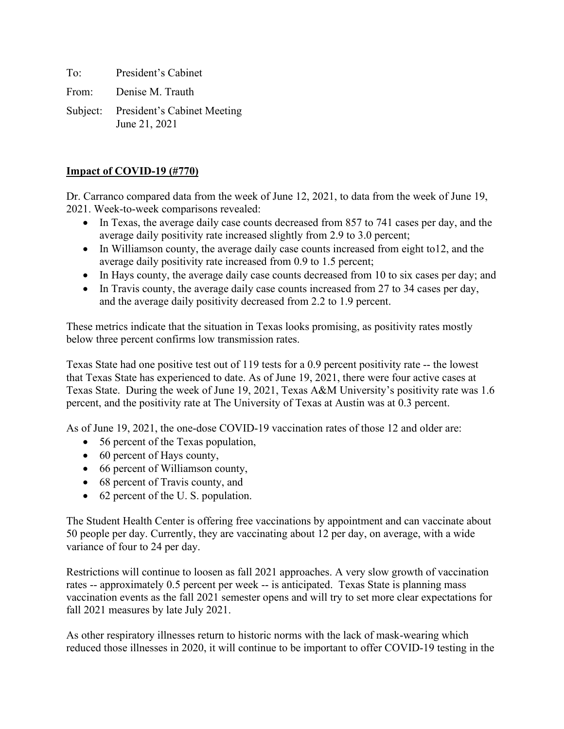To: President's Cabinet

From: Denise M. Trauth

Subject: President's Cabinet Meeting June 21, 2021

## **Impact of COVID-19 (#770)**

Dr. Carranco compared data from the week of June 12, 2021, to data from the week of June 19, 2021. Week-to-week comparisons revealed:

- In Texas, the average daily case counts decreased from 857 to 741 cases per day, and the average daily positivity rate increased slightly from 2.9 to 3.0 percent;
- In Williamson county, the average daily case counts increased from eight to 12, and the average daily positivity rate increased from 0.9 to 1.5 percent;
- In Hays county, the average daily case counts decreased from 10 to six cases per day; and
- In Travis county, the average daily case counts increased from 27 to 34 cases per day, and the average daily positivity decreased from 2.2 to 1.9 percent.

These metrics indicate that the situation in Texas looks promising, as positivity rates mostly below three percent confirms low transmission rates.

Texas State had one positive test out of 119 tests for a 0.9 percent positivity rate -- the lowest that Texas State has experienced to date. As of June 19, 2021, there were four active cases at Texas State. During the week of June 19, 2021, Texas A&M University's positivity rate was 1.6 percent, and the positivity rate at The University of Texas at Austin was at 0.3 percent.

As of June 19, 2021, the one-dose COVID-19 vaccination rates of those 12 and older are:

- 56 percent of the Texas population,
- 60 percent of Hays county,
- 66 percent of Williamson county,
- 68 percent of Travis county, and
- 62 percent of the U.S. population.

The Student Health Center is offering free vaccinations by appointment and can vaccinate about 50 people per day. Currently, they are vaccinating about 12 per day, on average, with a wide variance of four to 24 per day.

Restrictions will continue to loosen as fall 2021 approaches. A very slow growth of vaccination rates -- approximately 0.5 percent per week -- is anticipated. Texas State is planning mass vaccination events as the fall 2021 semester opens and will try to set more clear expectations for fall 2021 measures by late July 2021.

As other respiratory illnesses return to historic norms with the lack of mask-wearing which reduced those illnesses in 2020, it will continue to be important to offer COVID-19 testing in the